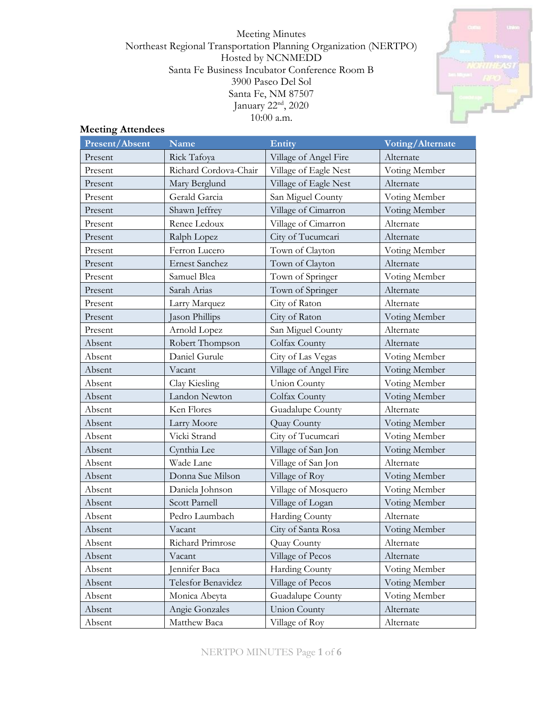Meeting Minutes Northeast Regional Transportation Planning Organization (NERTPO) Hosted by NCNMEDD Santa Fe Business Incubator Conference Room B 3900 Paseo Del Sol Santa Fe, NM 87507 January 22<sup>nd</sup>, 2020 10:00 a.m.



# **Meeting Attendees**

| <b>Present/Absent</b> | <b>Name</b>           | Entity                | <b>Voting/Alternate</b> |
|-----------------------|-----------------------|-----------------------|-------------------------|
| Present               | Rick Tafoya           | Village of Angel Fire | Alternate               |
| Present               | Richard Cordova-Chair | Village of Eagle Nest | Voting Member           |
| Present               | Mary Berglund         | Village of Eagle Nest | Alternate               |
| Present               | Gerald Garcia         | San Miguel County     | Voting Member           |
| Present               | Shawn Jeffrey         | Village of Cimarron   | Voting Member           |
| Present               | Renee Ledoux          | Village of Cimarron   | Alternate               |
| Present               | Ralph Lopez           | City of Tucumcari     | Alternate               |
| Present               | Ferron Lucero         | Town of Clayton       | Voting Member           |
| Present               | <b>Ernest Sanchez</b> | Town of Clayton       | Alternate               |
| Present               | Samuel Blea           | Town of Springer      | Voting Member           |
| Present               | Sarah Arias           | Town of Springer      | Alternate               |
| Present               | Larry Marquez         | City of Raton         | Alternate               |
| Present               | Jason Phillips        | City of Raton         | Voting Member           |
| Present               | Arnold Lopez          | San Miguel County     | Alternate               |
| Absent                | Robert Thompson       | Colfax County         | Alternate               |
| Absent                | Daniel Gurule         | City of Las Vegas     | Voting Member           |
| Absent                | Vacant                | Village of Angel Fire | Voting Member           |
| Absent                | Clay Kiesling         | <b>Union County</b>   | Voting Member           |
| Absent                | Landon Newton         | Colfax County         | Voting Member           |
| Absent                | Ken Flores            | Guadalupe County      | Alternate               |
| Absent                | Larry Moore           | Quay County           | Voting Member           |
| Absent                | Vicki Strand          | City of Tucumcari     | Voting Member           |
| Absent                | Cynthia Lee           | Village of San Jon    | Voting Member           |
| Absent                | Wade Lane             | Village of San Jon    | Alternate               |
| Absent                | Donna Sue Milson      | Village of Roy        | Voting Member           |
| Absent                | Daniela Johnson       | Village of Mosquero   | Voting Member           |
| Absent                | <b>Scott Parnell</b>  | Village of Logan      | Voting Member           |
| Absent                | Pedro Laumbach        | Harding County        | Alternate               |
| Absent                | Vacant                | City of Santa Rosa    | Voting Member           |
| Absent                | Richard Primrose      | Quay County           | Alternate               |
| Absent                | Vacant                | Village of Pecos      | Alternate               |
| Absent                | Jennifer Baca         | Harding County        | Voting Member           |
| Absent                | Telesfor Benavidez    | Village of Pecos      | Voting Member           |
| Absent                | Monica Abeyta         | Guadalupe County      | Voting Member           |
| Absent                | Angie Gonzales        | <b>Union County</b>   | Alternate               |
| Absent                | Matthew Baca          | Village of Roy        | Alternate               |

NERTPO MINUTES Page **1** of **6**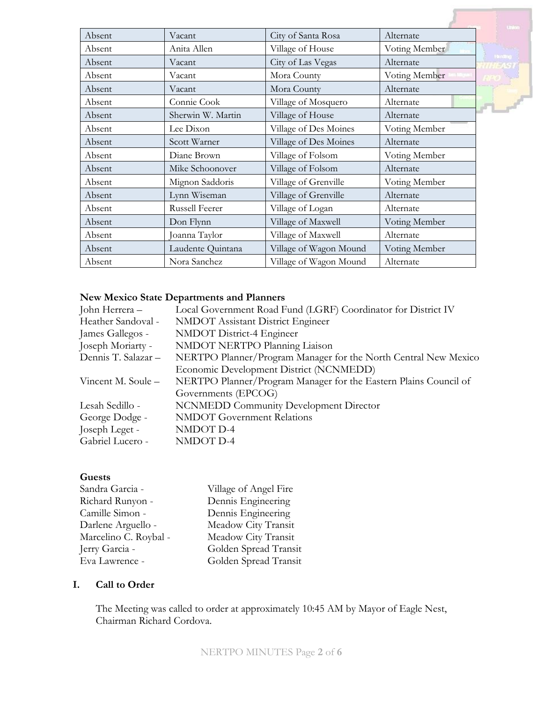| Absent | Vacant            | City of Santa Rosa     | Alternate     |
|--------|-------------------|------------------------|---------------|
| Absent | Anita Allen       | Village of House       | Voting Member |
| Absent | Vacant            | City of Las Vegas      | Alternate     |
| Absent | Vacant            | Mora County            | Voting Member |
| Absent | Vacant            | Mora County            | Alternate     |
| Absent | Connie Cook       | Village of Mosquero    | Alternate     |
| Absent | Sherwin W. Martin | Village of House       | Alternate     |
| Absent | Lee Dixon         | Village of Des Moines  | Voting Member |
| Absent | Scott Warner      | Village of Des Moines  | Alternate     |
| Absent | Diane Brown       | Village of Folsom      | Voting Member |
| Absent | Mike Schoonover   | Village of Folsom      | Alternate     |
| Absent | Mignon Saddoris   | Village of Grenville   | Voting Member |
| Absent | Lynn Wiseman      | Village of Grenville   | Alternate     |
| Absent | Russell Feerer    | Village of Logan       | Alternate     |
| Absent | Don Flynn         | Village of Maxwell     | Voting Member |
| Absent | Joanna Taylor     | Village of Maxwell     | Alternate     |
| Absent | Laudente Quintana | Village of Wagon Mound | Voting Member |
| Absent | Nora Sanchez      | Village of Wagon Mound | Alternate     |

### **New Mexico State Departments and Planners**

| John Herrera -      | Local Government Road Fund (LGRF) Coordinator for District IV    |
|---------------------|------------------------------------------------------------------|
| Heather Sandoval -  | <b>NMDOT</b> Assistant District Engineer                         |
| James Gallegos -    | NMDOT District-4 Engineer                                        |
| Joseph Moriarty -   | NMDOT NERTPO Planning Liaison                                    |
| Dennis T. Salazar - | NERTPO Planner/Program Manager for the North Central New Mexico  |
|                     | Economic Development District (NCNMEDD)                          |
| Vincent M. Soule –  | NERTPO Planner/Program Manager for the Eastern Plains Council of |
|                     | Governments (EPCOG)                                              |
| Lesah Sedillo -     | <b>NCNMEDD Community Development Director</b>                    |
| George Dodge -      | <b>NMDOT</b> Government Relations                                |
| Joseph Leget -      | NMDOT D-4                                                        |
| Gabriel Lucero -    | NMDOT D-4                                                        |
|                     |                                                                  |

#### **Guests**

| Sandra Garcia -       | Village of Angel Fire |
|-----------------------|-----------------------|
| Richard Runyon -      | Dennis Engineering    |
| Camille Simon -       | Dennis Engineering    |
| Darlene Arguello -    | Meadow City Transit   |
| Marcelino C. Roybal - | Meadow City Transit   |
| Jerry Garcia -        | Golden Spread Transit |
| Eva Lawrence -        | Golden Spread Transit |
|                       |                       |

## **I. Call to Order**

The Meeting was called to order at approximately 10:45 AM by Mayor of Eagle Nest, Chairman Richard Cordova.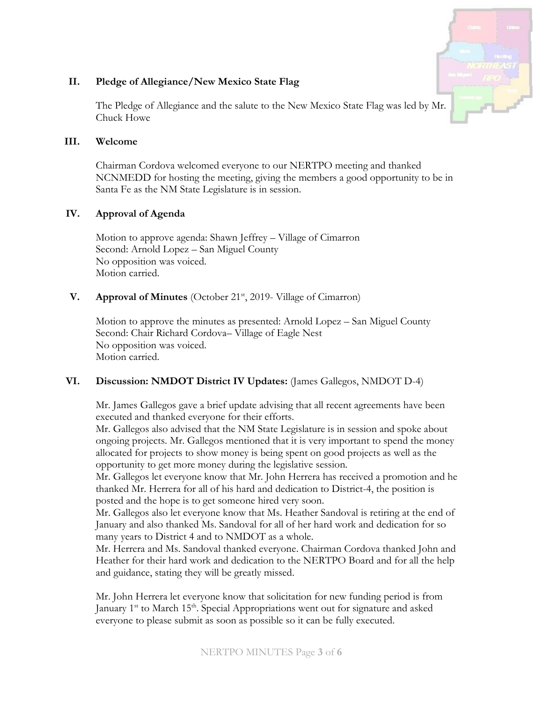

### **II. Pledge of Allegiance/New Mexico State Flag**

The Pledge of Allegiance and the salute to the New Mexico State Flag was led by Mr. Chuck Howe

#### **III. Welcome**

Chairman Cordova welcomed everyone to our NERTPO meeting and thanked NCNMEDD for hosting the meeting, giving the members a good opportunity to be in Santa Fe as the NM State Legislature is in session.

### **IV. Approval of Agenda**

Motion to approve agenda: Shawn Jeffrey – Village of Cimarron Second: Arnold Lopez – San Miguel County No opposition was voiced. Motion carried.

### **V. Approval of Minutes** (October 21<sup>st</sup>, 2019- Village of Cimarron)

Motion to approve the minutes as presented: Arnold Lopez – San Miguel County Second: Chair Richard Cordova– Village of Eagle Nest No opposition was voiced. Motion carried.

## **VI. Discussion: NMDOT District IV Updates:** (James Gallegos, NMDOT D-4)

Mr. James Gallegos gave a brief update advising that all recent agreements have been executed and thanked everyone for their efforts.

Mr. Gallegos also advised that the NM State Legislature is in session and spoke about ongoing projects. Mr. Gallegos mentioned that it is very important to spend the money allocated for projects to show money is being spent on good projects as well as the opportunity to get more money during the legislative session.

Mr. Gallegos let everyone know that Mr. John Herrera has received a promotion and he thanked Mr. Herrera for all of his hard and dedication to District-4, the position is posted and the hope is to get someone hired very soon.

Mr. Gallegos also let everyone know that Ms. Heather Sandoval is retiring at the end of January and also thanked Ms. Sandoval for all of her hard work and dedication for so many years to District 4 and to NMDOT as a whole.

Mr. Herrera and Ms. Sandoval thanked everyone. Chairman Cordova thanked John and Heather for their hard work and dedication to the NERTPO Board and for all the help and guidance, stating they will be greatly missed.

Mr. John Herrera let everyone know that solicitation for new funding period is from January 1<sup>st</sup> to March 15<sup>th</sup>. Special Appropriations went out for signature and asked everyone to please submit as soon as possible so it can be fully executed.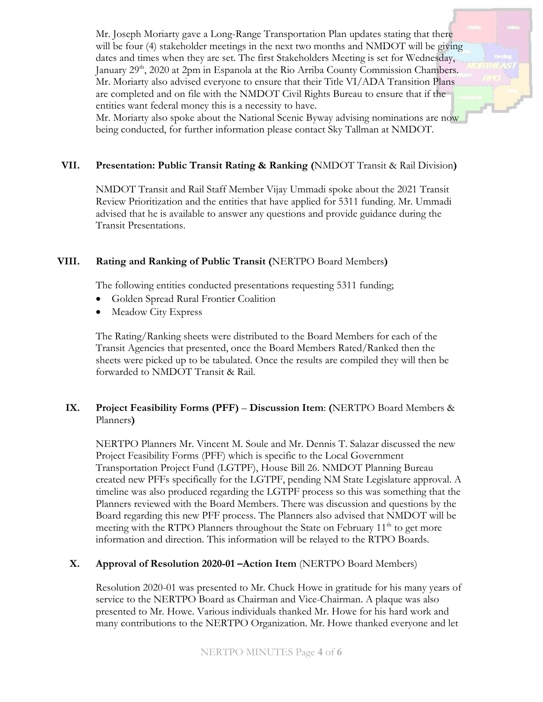Mr. Joseph Moriarty gave a Long-Range Transportation Plan updates stating that there will be four (4) stakeholder meetings in the next two months and NMDOT will be giving dates and times when they are set. The first Stakeholders Meeting is set for Wednesday, January 29<sup>th</sup>, 2020 at 2pm in Espanola at the Rio Arriba County Commission Chambers. Mr. Moriarty also advised everyone to ensure that their Title VI/ADA Transition Plans are completed and on file with the NMDOT Civil Rights Bureau to ensure that if the entities want federal money this is a necessity to have.

Mr. Moriarty also spoke about the National Scenic Byway advising nominations are now being conducted, for further information please contact Sky Tallman at NMDOT.

## **VII. Presentation: Public Transit Rating & Ranking (**NMDOT Transit & Rail Division**)**

NMDOT Transit and Rail Staff Member Vijay Ummadi spoke about the 2021 Transit Review Prioritization and the entities that have applied for 5311 funding. Mr. Ummadi advised that he is available to answer any questions and provide guidance during the Transit Presentations.

### **VIII. Rating and Ranking of Public Transit (**NERTPO Board Members**)**

The following entities conducted presentations requesting 5311 funding;

- Golden Spread Rural Frontier Coalition
- Meadow City Express

The Rating/Ranking sheets were distributed to the Board Members for each of the Transit Agencies that presented, once the Board Members Rated/Ranked then the sheets were picked up to be tabulated. Once the results are compiled they will then be forwarded to NMDOT Transit & Rail.

### **IX. Project Feasibility Forms (PFF)** – **Discussion Item**: **(**NERTPO Board Members & Planners**)**

NERTPO Planners Mr. Vincent M. Soule and Mr. Dennis T. Salazar discussed the new Project Feasibility Forms (PFF) which is specific to the Local Government Transportation Project Fund (LGTPF), House Bill 26. NMDOT Planning Bureau created new PFFs specifically for the LGTPF, pending NM State Legislature approval. A timeline was also produced regarding the LGTPF process so this was something that the Planners reviewed with the Board Members. There was discussion and questions by the Board regarding this new PFF process. The Planners also advised that NMDOT will be meeting with the RTPO Planners throughout the State on February  $11<sup>th</sup>$  to get more information and direction. This information will be relayed to the RTPO Boards.

### **X. Approval of Resolution 2020-01 –Action Item** (NERTPO Board Members)

Resolution 2020-01 was presented to Mr. Chuck Howe in gratitude for his many years of service to the NERTPO Board as Chairman and Vice-Chairman. A plaque was also presented to Mr. Howe. Various individuals thanked Mr. Howe for his hard work and many contributions to the NERTPO Organization. Mr. Howe thanked everyone and let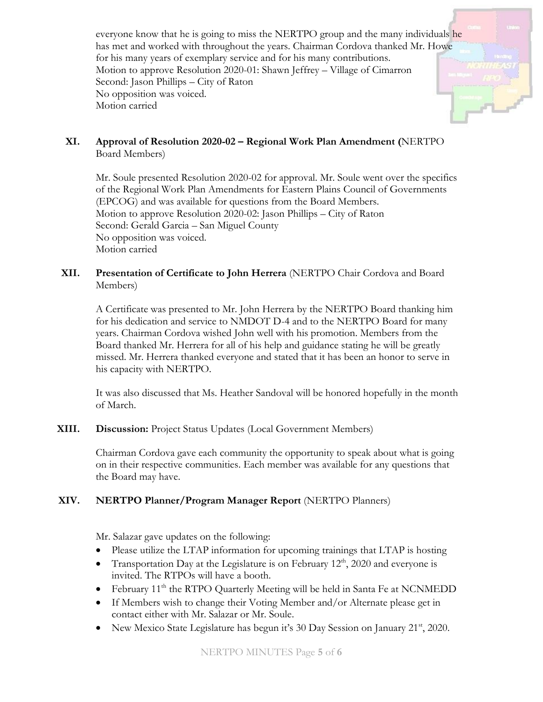everyone know that he is going to miss the NERTPO group and the many individuals he has met and worked with throughout the years. Chairman Cordova thanked Mr. Howe for his many years of exemplary service and for his many contributions. Motion to approve Resolution 2020-01: Shawn Jeffrey – Village of Cimarron Second: Jason Phillips – City of Raton No opposition was voiced. Motion carried

**XI. Approval of Resolution 2020-02 – Regional Work Plan Amendment (**NERTPO Board Members)

Mr. Soule presented Resolution 2020-02 for approval. Mr. Soule went over the specifics of the Regional Work Plan Amendments for Eastern Plains Council of Governments (EPCOG) and was available for questions from the Board Members. Motion to approve Resolution 2020-02: Jason Phillips – City of Raton Second: Gerald Garcia – San Miguel County No opposition was voiced. Motion carried

**XII. Presentation of Certificate to John Herrera** (NERTPO Chair Cordova and Board Members)

A Certificate was presented to Mr. John Herrera by the NERTPO Board thanking him for his dedication and service to NMDOT D-4 and to the NERTPO Board for many years. Chairman Cordova wished John well with his promotion. Members from the Board thanked Mr. Herrera for all of his help and guidance stating he will be greatly missed. Mr. Herrera thanked everyone and stated that it has been an honor to serve in his capacity with NERTPO.

It was also discussed that Ms. Heather Sandoval will be honored hopefully in the month of March.

**XIII. Discussion:** Project Status Updates (Local Government Members)

Chairman Cordova gave each community the opportunity to speak about what is going on in their respective communities. Each member was available for any questions that the Board may have.

## **XIV. NERTPO Planner/Program Manager Report** (NERTPO Planners)

Mr. Salazar gave updates on the following:

- Please utilize the LTAP information for upcoming trainings that LTAP is hosting
- Transportation Day at the Legislature is on February 12<sup>th</sup>, 2020 and everyone is invited. The RTPOs will have a booth.
- February 11<sup>th</sup> the RTPO Quarterly Meeting will be held in Santa Fe at NCNMEDD
- If Members wish to change their Voting Member and/or Alternate please get in contact either with Mr. Salazar or Mr. Soule.
- New Mexico State Legislature has begun it's 30 Day Session on January 21<sup>st</sup>, 2020.